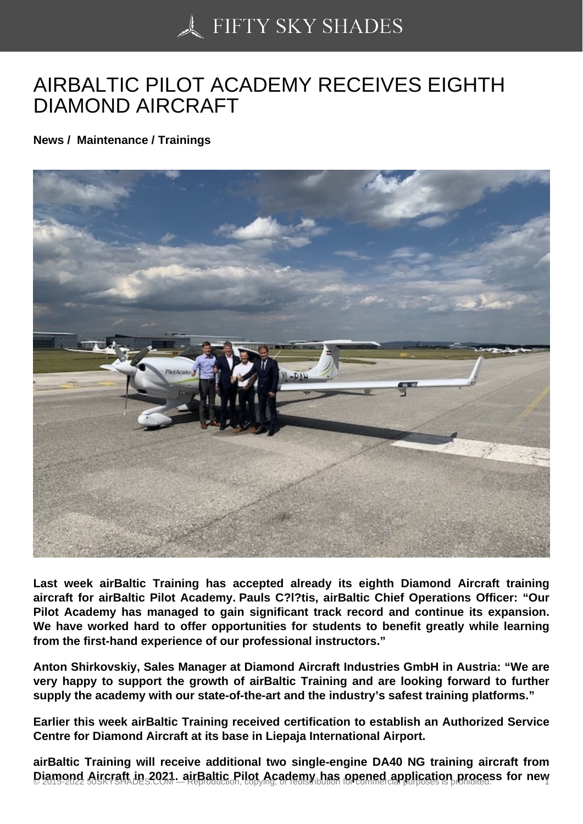## [AIRBALTIC PILOT AC](https://50skyshades.com)ADEMY RECEIVES EIGHTH DIAMOND AIRCRAFT

News / Maintenance / Trainings

Last week airBaltic Training has accepted already its eighth Diamond Aircraft training aircraft for airBaltic Pilot Academy. Pauls C?l?tis, airBaltic Chief Operations Officer: "Our Pilot Academy has managed to gain significant track record and continue its expansion. We have worked hard to offer opportunities for students to benefit greatly while learning from the first-hand experience of our professional instructors."

Anton Shirkovskiy, Sales Manager at Diamond Aircraft Industries GmbH in Austria: "We are very happy to support the growth of airBaltic Training and are looking forward to further supply the academy with our state-of-the-art and the industry's safest training platforms."

Earlier this week airBaltic Training received certification to establish an Authorized Service Centre for Diamond Aircraft at its base in Liepaja International Airport.

airBaltic Training will receive additional two single-engine DA40 NG training aircraft from Diamond Aircraft in 2021, airBaltic Pilot Academy has opened application process for new